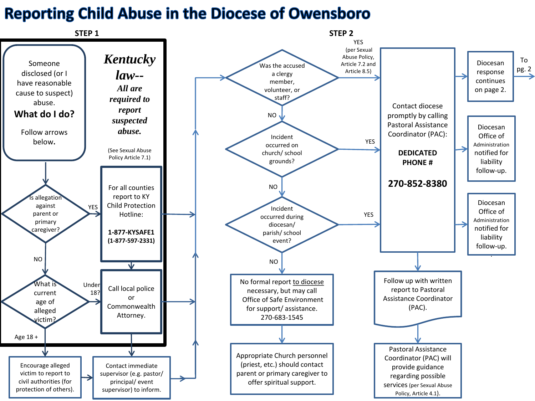## **Reporting Child Abuse in the Diocese of Owensboro**